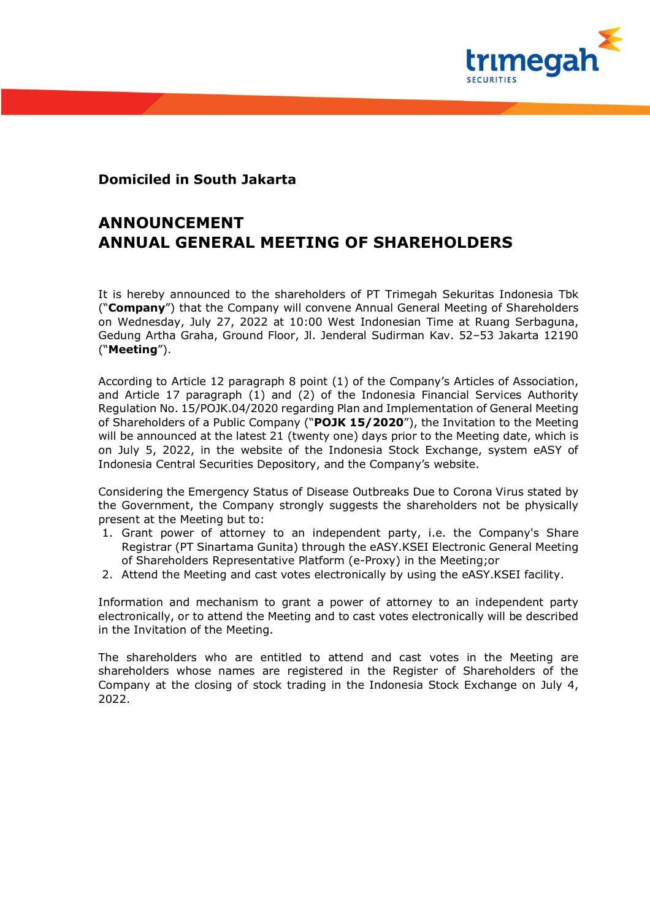

## **Domiciled in South Jakarta**

## **ANNOUNCEMENT ANNUAL GENERAL MEETING OF SHAREHOLDERS**

It is hereby announced to the shareholders of PT Trimegah Sekuritas Indonesia Tbk ("**Company**") that the Company will convene Annual General Meeting of Shareholders on Wednesday, July 27, 2022 at 10:00 West Indonesian Time at Ruang Serbaguna, Gedung Artha Graha, Ground Floor, Jl. Jenderal Sudirman Kav. 52–53 Jakarta 12190 ("**Meeting**").

According to Article 12 paragraph 8 point (1) of the Company's Articles of Association, and Article 17 paragraph (1) and (2) of the Indonesia Financial Services Authority Regulation No. 15/POJK.04/2020 regarding Plan and Implementation of General Meeting of Shareholders of a Public Company ("**POJK 15/2020**"), the Invitation to the Meeting will be announced at the latest 21 (twenty one) days prior to the Meeting date, which is on July 5, 2022, in the website of the Indonesia Stock Exchange, system eASY of Indonesia Central Securities Depository, and the Company's website.

Considering the Emergency Status of Disease Outbreaks Due to Corona Virus stated by the Government, the Company strongly suggests the shareholders not be physically present at the Meeting but to:

- 1. Grant power of attorney to an independent party, i.e. the Company's Share Registrar (PT Sinartama Gunita) through the eASY.KSEI Electronic General Meeting of Shareholders Representative Platform (e-Proxy) in the Meeting;or
- 2. Attend the Meeting and cast votes electronically by using the eASY.KSEI facility.

Information and mechanism to grant a power of attorney to an independent party electronically, or to attend the Meeting and to cast votes electronically will be described in the Invitation of the Meeting.

The shareholders who are entitled to attend and cast votes in the Meeting are shareholders whose names are registered in the Register of Shareholders of the Company at the closing of stock trading in the Indonesia Stock Exchange on July 4, 2022.